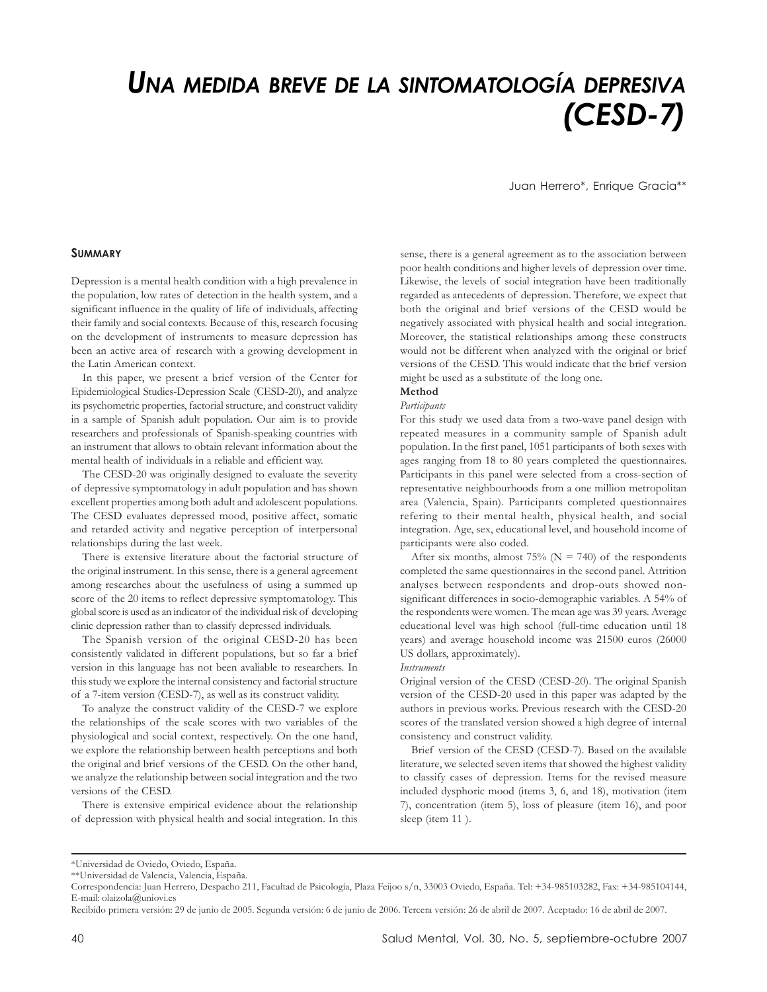# *UNA MEDIDA BREVE DE LA SINTOMATOLOGÍA DEPRESIVA (CESD-7)*

Juan Herrero\*, Enrique Gracia\*\*

## **SUMMARY**

Depression is a mental health condition with a high prevalence in the population, low rates of detection in the health system, and a significant influence in the quality of life of individuals, affecting their family and social contexts. Because of this, research focusing on the development of instruments to measure depression has been an active area of research with a growing development in the Latin American context.

In this paper, we present a brief version of the Center for Epidemiological Studies-Depression Scale (CESD-20), and analyze its psychometric properties, factorial structure, and construct validity in a sample of Spanish adult population. Our aim is to provide researchers and professionals of Spanish-speaking countries with an instrument that allows to obtain relevant information about the mental health of individuals in a reliable and efficient way.

The CESD-20 was originally designed to evaluate the severity of depressive symptomatology in adult population and has shown excellent properties among both adult and adolescent populations. The CESD evaluates depressed mood, positive affect, somatic and retarded activity and negative perception of interpersonal relationships during the last week.

There is extensive literature about the factorial structure of the original instrument. In this sense, there is a general agreement among researches about the usefulness of using a summed up score of the 20 items to reflect depressive symptomatology. This global score is used as an indicator of the individual risk of developing clinic depression rather than to classify depressed individuals.

The Spanish version of the original CESD-20 has been consistently validated in different populations, but so far a brief version in this language has not been avaliable to researchers. In this study we explore the internal consistency and factorial structure of a 7-item version (CESD-7), as well as its construct validity.

To analyze the construct validity of the CESD-7 we explore the relationships of the scale scores with two variables of the physiological and social context, respectively. On the one hand, we explore the relationship between health perceptions and both the original and brief versions of the CESD. On the other hand, we analyze the relationship between social integration and the two versions of the CESD.

There is extensive empirical evidence about the relationship of depression with physical health and social integration. In this sense, there is a general agreement as to the association between poor health conditions and higher levels of depression over time. Likewise, the levels of social integration have been traditionally regarded as antecedents of depression. Therefore, we expect that both the original and brief versions of the CESD would be negatively associated with physical health and social integration. Moreover, the statistical relationships among these constructs would not be different when analyzed with the original or brief versions of the CESD. This would indicate that the brief version might be used as a substitute of the long one.

### **Method**

# *Participants*

For this study we used data from a two-wave panel design with repeated measures in a community sample of Spanish adult population. In the first panel, 1051 participants of both sexes with ages ranging from 18 to 80 years completed the questionnaires. Participants in this panel were selected from a cross-section of representative neighbourhoods from a one million metropolitan area (Valencia, Spain). Participants completed questionnaires refering to their mental health, physical health, and social integration. Age, sex, educational level, and household income of participants were also coded.

After six months, almost 75% ( $N = 740$ ) of the respondents completed the same questionnaires in the second panel. Attrition analyses between respondents and drop-outs showed nonsignificant differences in socio-demographic variables. A 54% of the respondents were women. The mean age was 39 years. Average educational level was high school (full-time education until 18 years) and average household income was 21500 euros (26000 US dollars, approximately).

### *Instruments*

Original version of the CESD (CESD-20). The original Spanish version of the CESD-20 used in this paper was adapted by the authors in previous works. Previous research with the CESD-20 scores of the translated version showed a high degree of internal consistency and construct validity.

Brief version of the CESD (CESD-7). Based on the available literature, we selected seven items that showed the highest validity to classify cases of depression. Items for the revised measure included dysphoric mood (items 3, 6, and 18), motivation (item 7), concentration (item 5), loss of pleasure (item 16), and poor sleep (item 11 ).

<sup>\*</sup>Universidad de Oviedo, Oviedo, España.

<sup>\*\*</sup>Universidad de Valencia, Valencia, España.

Correspondencia: Juan Herrero, Despacho 211, Facultad de Psicología, Plaza Feijoo s/n, 33003 Oviedo, España. Tel: +34-985103282, Fax: +34-985104144, E-mail: olaizola@uniovi.es

Recibido primera versión: 29 de junio de 2005. Segunda versión: 6 de junio de 2006. Tercera versión: 26 de abril de 2007. Aceptado: 16 de abril de 2007.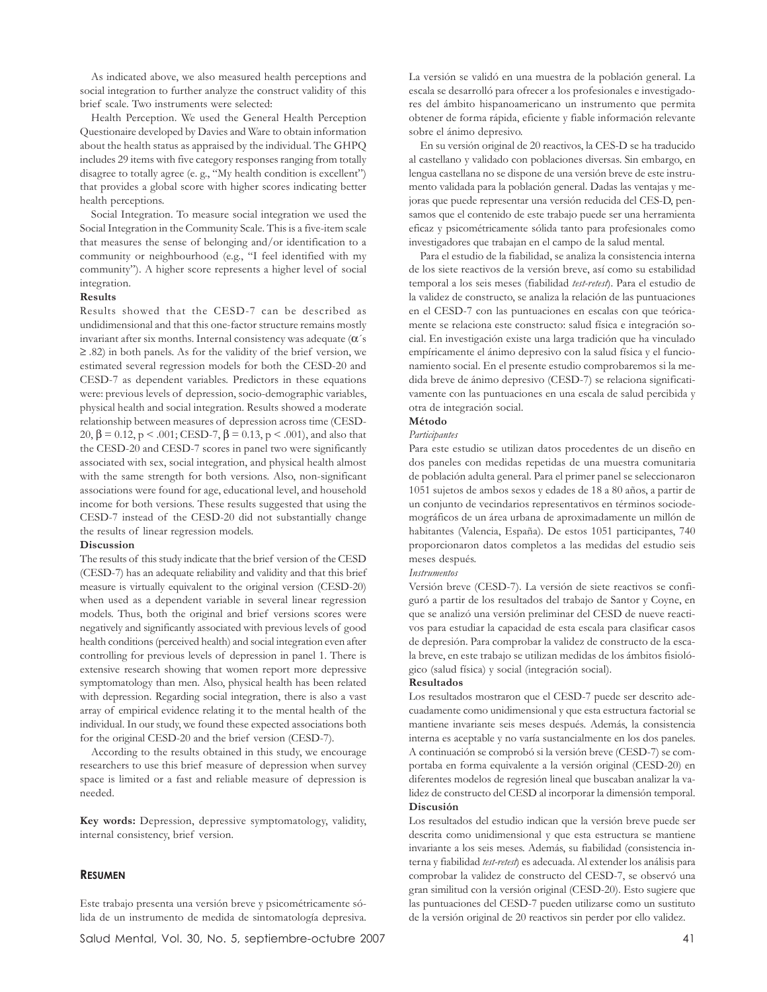As indicated above, we also measured health perceptions and social integration to further analyze the construct validity of this brief scale. Two instruments were selected:

Health Perception. We used the General Health Perception Questionaire developed by Davies and Ware to obtain information about the health status as appraised by the individual. The GHPQ includes 29 items with five category responses ranging from totally disagree to totally agree (e. g., "My health condition is excellent") that provides a global score with higher scores indicating better health perceptions.

Social Integration. To measure social integration we used the Social Integration in the Community Scale. This is a five-item scale that measures the sense of belonging and/or identification to a community or neighbourhood (e.g., "I feel identified with my community"). A higher score represents a higher level of social integration.

### **Results**

Results showed that the CESD-7 can be described as undidimensional and that this one-factor structure remains mostly invariant after six months. Internal consistency was adequate (α´s ≥ .82) in both panels. As for the validity of the brief version, we estimated several regression models for both the CESD-20 and CESD-7 as dependent variables. Predictors in these equations were: previous levels of depression, socio-demographic variables, physical health and social integration. Results showed a moderate relationship between measures of depression across time (CESD-20, β = 0.12, p < .001; CESD-7, β = 0.13, p < .001), and also that the CESD-20 and CESD-7 scores in panel two were significantly associated with sex, social integration, and physical health almost with the same strength for both versions. Also, non-significant associations were found for age, educational level, and household income for both versions. These results suggested that using the CESD-7 instead of the CESD-20 did not substantially change the results of linear regression models.

### **Discussion**

The results of this study indicate that the brief version of the CESD (CESD-7) has an adequate reliability and validity and that this brief measure is virtually equivalent to the original version (CESD-20) when used as a dependent variable in several linear regression models. Thus, both the original and brief versions scores were negatively and significantly associated with previous levels of good health conditions (perceived health) and social integration even after controlling for previous levels of depression in panel 1. There is extensive research showing that women report more depressive symptomatology than men. Also, physical health has been related with depression. Regarding social integration, there is also a vast array of empirical evidence relating it to the mental health of the individual. In our study, we found these expected associations both for the original CESD-20 and the brief version (CESD-7).

According to the results obtained in this study, we encourage researchers to use this brief measure of depression when survey space is limited or a fast and reliable measure of depression is needed.

**Key words:** Depression, depressive symptomatology, validity, internal consistency, brief version.

### **RESUMEN**

Este trabajo presenta una versión breve y psicométricamente sólida de un instrumento de medida de sintomatología depresiva.

La versión se validó en una muestra de la población general. La escala se desarrolló para ofrecer a los profesionales e investigadores del ámbito hispanoamericano un instrumento que permita obtener de forma rápida, eficiente y fiable información relevante sobre el ánimo depresivo.

En su versión original de 20 reactivos, la CES-D se ha traducido al castellano y validado con poblaciones diversas. Sin embargo, en lengua castellana no se dispone de una versión breve de este instrumento validada para la población general. Dadas las ventajas y mejoras que puede representar una versión reducida del CES-D, pensamos que el contenido de este trabajo puede ser una herramienta eficaz y psicométricamente sólida tanto para profesionales como investigadores que trabajan en el campo de la salud mental.

Para el estudio de la fiabilidad, se analiza la consistencia interna de los siete reactivos de la versión breve, así como su estabilidad temporal a los seis meses (fiabilidad *test-retest*). Para el estudio de la validez de constructo, se analiza la relación de las puntuaciones en el CESD-7 con las puntuaciones en escalas con que teóricamente se relaciona este constructo: salud física e integración social. En investigación existe una larga tradición que ha vinculado empíricamente el ánimo depresivo con la salud física y el funcionamiento social. En el presente estudio comprobaremos si la medida breve de ánimo depresivo (CESD-7) se relaciona significativamente con las puntuaciones en una escala de salud percibida y otra de integración social.

# **Método**

# *Participantes*

Para este estudio se utilizan datos procedentes de un diseño en dos paneles con medidas repetidas de una muestra comunitaria de población adulta general. Para el primer panel se seleccionaron 1051 sujetos de ambos sexos y edades de 18 a 80 años, a partir de un conjunto de vecindarios representativos en términos sociodemográficos de un área urbana de aproximadamente un millón de habitantes (Valencia, España). De estos 1051 participantes, 740 proporcionaron datos completos a las medidas del estudio seis meses después.

### *Instrumentos*

Versión breve (CESD-7). La versión de siete reactivos se configuró a partir de los resultados del trabajo de Santor y Coyne, en que se analizó una versión preliminar del CESD de nueve reactivos para estudiar la capacidad de esta escala para clasificar casos de depresión. Para comprobar la validez de constructo de la escala breve, en este trabajo se utilizan medidas de los ámbitos fisiológico (salud física) y social (integración social).

### **Resultados**

Los resultados mostraron que el CESD-7 puede ser descrito adecuadamente como unidimensional y que esta estructura factorial se mantiene invariante seis meses después. Además, la consistencia interna es aceptable y no varía sustancialmente en los dos paneles. A continuación se comprobó si la versión breve (CESD-7) se comportaba en forma equivalente a la versión original (CESD-20) en diferentes modelos de regresión lineal que buscaban analizar la validez de constructo del CESD al incorporar la dimensión temporal. **Discusión**

Los resultados del estudio indican que la versión breve puede ser descrita como unidimensional y que esta estructura se mantiene invariante a los seis meses. Además, su fiabilidad (consistencia interna y fiabilidad *test-retest*) es adecuada. Al extender los análisis para comprobar la validez de constructo del CESD-7, se observó una gran similitud con la versión original (CESD-20). Esto sugiere que las puntuaciones del CESD-7 pueden utilizarse como un sustituto de la versión original de 20 reactivos sin perder por ello validez.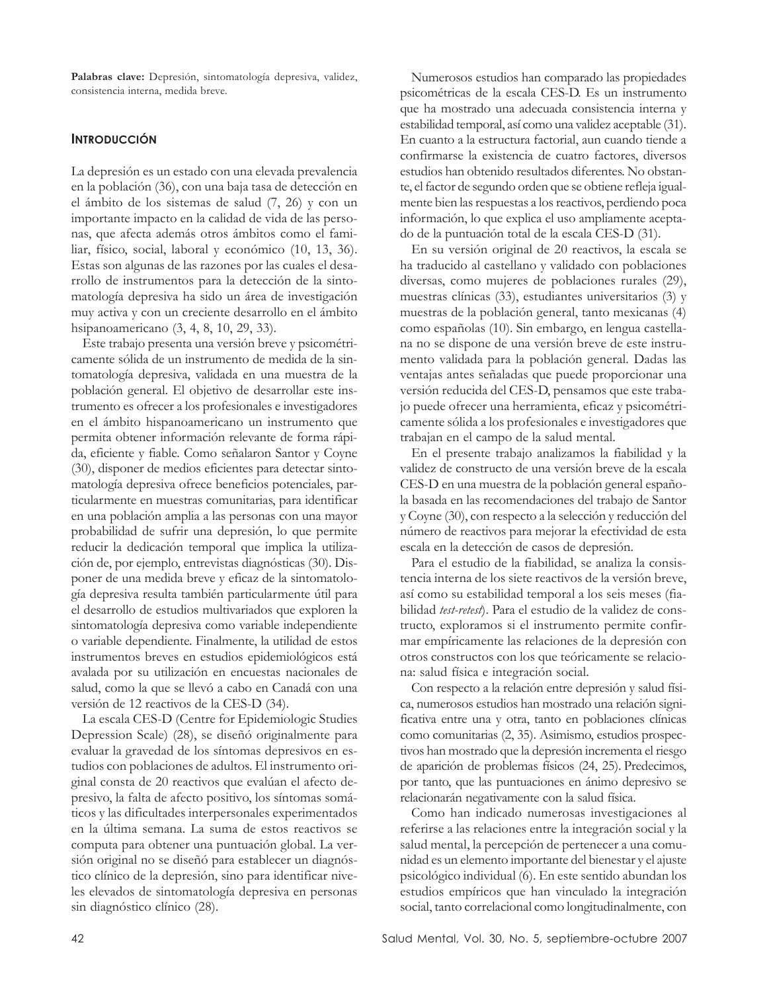**Palabras clave:** Depresión, sintomatología depresiva, validez, consistencia interna, medida breve.

# **INTRODUCCIÓN**

La depresión es un estado con una elevada prevalencia en la población (36), con una baja tasa de detección en el ámbito de los sistemas de salud (7, 26) y con un importante impacto en la calidad de vida de las personas, que afecta además otros ámbitos como el familiar, físico, social, laboral y económico (10, 13, 36). Estas son algunas de las razones por las cuales el desarrollo de instrumentos para la detección de la sintomatología depresiva ha sido un área de investigación muy activa y con un creciente desarrollo en el ámbito hsipanoamericano (3, 4, 8, 10, 29, 33).

Este trabajo presenta una versión breve y psicométricamente sólida de un instrumento de medida de la sintomatología depresiva, validada en una muestra de la población general. El objetivo de desarrollar este instrumento es ofrecer a los profesionales e investigadores en el ámbito hispanoamericano un instrumento que permita obtener información relevante de forma rápida, eficiente y fiable. Como señalaron Santor y Coyne (30), disponer de medios eficientes para detectar sintomatología depresiva ofrece beneficios potenciales, particularmente en muestras comunitarias, para identificar en una población amplia a las personas con una mayor probabilidad de sufrir una depresión, lo que permite reducir la dedicación temporal que implica la utilización de, por ejemplo, entrevistas diagnósticas (30). Disponer de una medida breve y eficaz de la sintomatología depresiva resulta también particularmente útil para el desarrollo de estudios multivariados que exploren la sintomatología depresiva como variable independiente o variable dependiente. Finalmente, la utilidad de estos instrumentos breves en estudios epidemiológicos está avalada por su utilización en encuestas nacionales de salud, como la que se llevó a cabo en Canadá con una versión de 12 reactivos de la CES-D (34).

La escala CES-D (Centre for Epidemiologic Studies Depression Scale) (28), se diseñó originalmente para evaluar la gravedad de los síntomas depresivos en estudios con poblaciones de adultos. El instrumento original consta de 20 reactivos que evalúan el afecto depresivo, la falta de afecto positivo, los síntomas somáticos y las dificultades interpersonales experimentados en la última semana. La suma de estos reactivos se computa para obtener una puntuación global. La versión original no se diseñó para establecer un diagnóstico clínico de la depresión, sino para identificar niveles elevados de sintomatología depresiva en personas sin diagnóstico clínico (28).

Numerosos estudios han comparado las propiedades psicométricas de la escala CES-D. Es un instrumento que ha mostrado una adecuada consistencia interna y estabilidad temporal, así como una validez aceptable (31). En cuanto a la estructura factorial, aun cuando tiende a confirmarse la existencia de cuatro factores, diversos estudios han obtenido resultados diferentes. No obstante, el factor de segundo orden que se obtiene refleja igualmente bien las respuestas a los reactivos, perdiendo poca información, lo que explica el uso ampliamente aceptado de la puntuación total de la escala CES-D (31).

En su versión original de 20 reactivos, la escala se ha traducido al castellano y validado con poblaciones diversas, como mujeres de poblaciones rurales (29), muestras clínicas (33), estudiantes universitarios (3) y muestras de la población general, tanto mexicanas (4) como españolas (10). Sin embargo, en lengua castellana no se dispone de una versión breve de este instrumento validada para la población general. Dadas las ventajas antes señaladas que puede proporcionar una versión reducida del CES-D, pensamos que este trabajo puede ofrecer una herramienta, eficaz y psicométricamente sólida a los profesionales e investigadores que trabajan en el campo de la salud mental.

En el presente trabajo analizamos la fiabilidad y la validez de constructo de una versión breve de la escala CES-D en una muestra de la población general española basada en las recomendaciones del trabajo de Santor y Coyne (30), con respecto a la selección y reducción del número de reactivos para mejorar la efectividad de esta escala en la detección de casos de depresión.

Para el estudio de la fiabilidad, se analiza la consistencia interna de los siete reactivos de la versión breve, así como su estabilidad temporal a los seis meses (fiabilidad *test-retest*). Para el estudio de la validez de constructo, exploramos si el instrumento permite confirmar empíricamente las relaciones de la depresión con otros constructos con los que teóricamente se relaciona: salud física e integración social.

Con respecto a la relación entre depresión y salud física, numerosos estudios han mostrado una relación significativa entre una y otra, tanto en poblaciones clínicas como comunitarias (2, 35). Asimismo, estudios prospectivos han mostrado que la depresión incrementa el riesgo de aparición de problemas físicos (24, 25). Predecimos, por tanto, que las puntuaciones en ánimo depresivo se relacionarán negativamente con la salud física.

Como han indicado numerosas investigaciones al referirse a las relaciones entre la integración social y la salud mental, la percepción de pertenecer a una comunidad es un elemento importante del bienestar y el ajuste psicológico individual (6). En este sentido abundan los estudios empíricos que han vinculado la integración social, tanto correlacional como longitudinalmente, con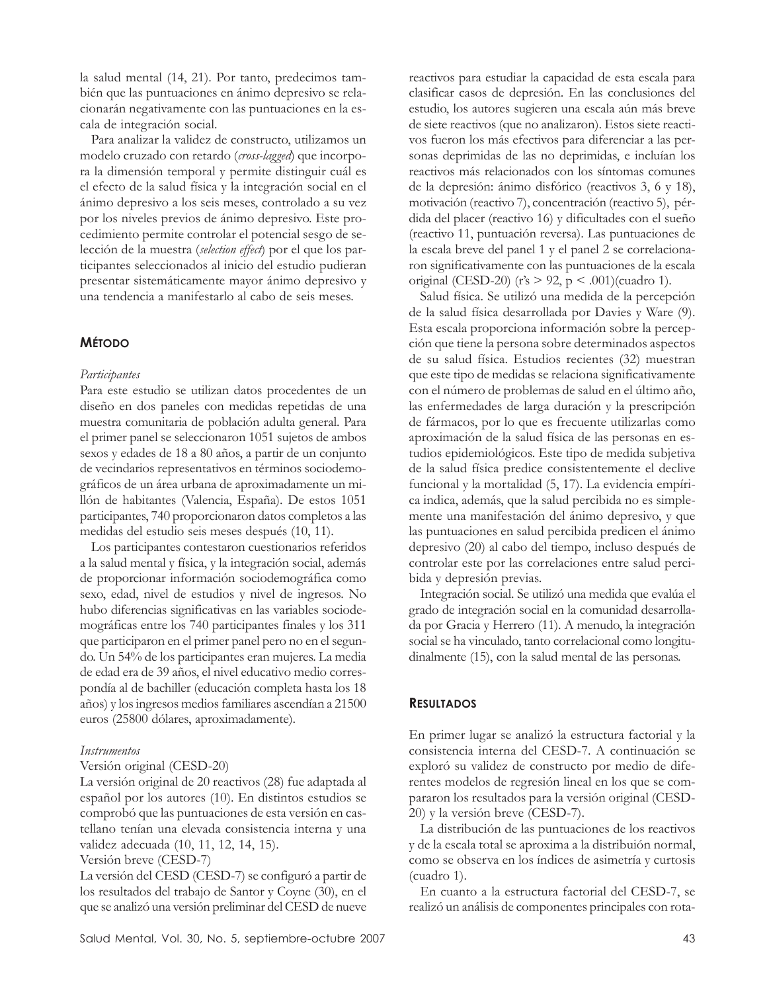la salud mental (14, 21). Por tanto, predecimos también que las puntuaciones en ánimo depresivo se relacionarán negativamente con las puntuaciones en la escala de integración social.

Para analizar la validez de constructo, utilizamos un modelo cruzado con retardo (*cross-lagged*) que incorpora la dimensión temporal y permite distinguir cuál es el efecto de la salud física y la integración social en el ánimo depresivo a los seis meses, controlado a su vez por los niveles previos de ánimo depresivo. Este procedimiento permite controlar el potencial sesgo de selección de la muestra (*selection effect*) por el que los participantes seleccionados al inicio del estudio pudieran presentar sistemáticamente mayor ánimo depresivo y una tendencia a manifestarlo al cabo de seis meses.

# **MÉTODO**

# *Participantes*

Para este estudio se utilizan datos procedentes de un diseño en dos paneles con medidas repetidas de una muestra comunitaria de población adulta general. Para el primer panel se seleccionaron 1051 sujetos de ambos sexos y edades de 18 a 80 años, a partir de un conjunto de vecindarios representativos en términos sociodemográficos de un área urbana de aproximadamente un millón de habitantes (Valencia, España). De estos 1051 participantes, 740 proporcionaron datos completos a las medidas del estudio seis meses después (10, 11).

Los participantes contestaron cuestionarios referidos a la salud mental y física, y la integración social, además de proporcionar información sociodemográfica como sexo, edad, nivel de estudios y nivel de ingresos. No hubo diferencias significativas en las variables sociodemográficas entre los 740 participantes finales y los 311 que participaron en el primer panel pero no en el segundo. Un 54% de los participantes eran mujeres. La media de edad era de 39 años, el nivel educativo medio correspondía al de bachiller (educación completa hasta los 18 años) y los ingresos medios familiares ascendían a 21500 euros (25800 dólares, aproximadamente).

### *Instrumentos*

### Versión original (CESD-20)

La versión original de 20 reactivos (28) fue adaptada al español por los autores (10). En distintos estudios se comprobó que las puntuaciones de esta versión en castellano tenían una elevada consistencia interna y una validez adecuada (10, 11, 12, 14, 15).

# Versión breve (CESD-7)

La versión del CESD (CESD-7) se configuró a partir de los resultados del trabajo de Santor y Coyne (30), en el que se analizó una versión preliminar del CESD de nueve reactivos para estudiar la capacidad de esta escala para clasificar casos de depresión. En las conclusiones del estudio, los autores sugieren una escala aún más breve de siete reactivos (que no analizaron). Estos siete reactivos fueron los más efectivos para diferenciar a las personas deprimidas de las no deprimidas, e incluían los reactivos más relacionados con los síntomas comunes de la depresión: ánimo disfórico (reactivos 3, 6 y 18), motivación (reactivo 7), concentración (reactivo 5), pérdida del placer (reactivo 16) y dificultades con el sueño (reactivo 11, puntuación reversa). Las puntuaciones de la escala breve del panel 1 y el panel 2 se correlacionaron significativamente con las puntuaciones de la escala original (CESD-20) ( $r's > 92$ ,  $p < .001$ )(cuadro 1).

Salud física. Se utilizó una medida de la percepción de la salud física desarrollada por Davies y Ware (9). Esta escala proporciona información sobre la percepción que tiene la persona sobre determinados aspectos de su salud física. Estudios recientes (32) muestran que este tipo de medidas se relaciona significativamente con el número de problemas de salud en el último año, las enfermedades de larga duración y la prescripción de fármacos, por lo que es frecuente utilizarlas como aproximación de la salud física de las personas en estudios epidemiológicos. Este tipo de medida subjetiva de la salud física predice consistentemente el declive funcional y la mortalidad (5, 17). La evidencia empírica indica, además, que la salud percibida no es simplemente una manifestación del ánimo depresivo, y que las puntuaciones en salud percibida predicen el ánimo depresivo (20) al cabo del tiempo, incluso después de controlar este por las correlaciones entre salud percibida y depresión previas.

Integración social. Se utilizó una medida que evalúa el grado de integración social en la comunidad desarrollada por Gracia y Herrero (11). A menudo, la integración social se ha vinculado, tanto correlacional como longitudinalmente (15), con la salud mental de las personas.

# **RESULTADOS**

En primer lugar se analizó la estructura factorial y la consistencia interna del CESD-7. A continuación se exploró su validez de constructo por medio de diferentes modelos de regresión lineal en los que se compararon los resultados para la versión original (CESD-20) y la versión breve (CESD-7).

La distribución de las puntuaciones de los reactivos y de la escala total se aproxima a la distribuión normal, como se observa en los índices de asimetría y curtosis (cuadro 1).

En cuanto a la estructura factorial del CESD-7, se realizó un análisis de componentes principales con rota-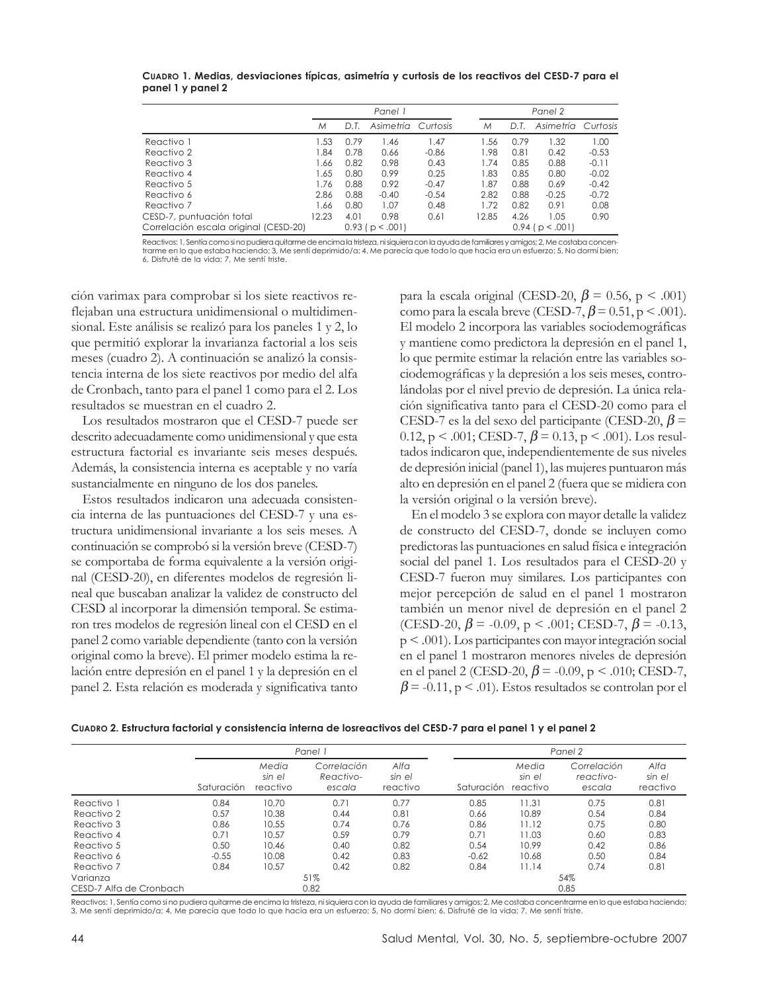|                                       | Panel 1 |      |                       |          |  | Panel 2 |      |                       |          |
|---------------------------------------|---------|------|-----------------------|----------|--|---------|------|-----------------------|----------|
|                                       | М       | D.T  | Asimetría             | Curtosis |  | М       | D.T  | Asimetría             | Curtosis |
| Reactivo 1                            | .53     | 0.79 | 1.46                  | 1.47     |  | .56     | 0.79 | 1.32                  | 1.00     |
| Reactivo 2                            | .84     | 0.78 | 0.66                  | $-0.86$  |  | 1.98    | 0.81 | 0.42                  | $-0.53$  |
| Reactivo 3                            | .66     | 0.82 | 0.98                  | 0.43     |  | 1.74    | 0.85 | 0.88                  | $-0.11$  |
| Reactivo 4                            | 1.65    | 0.80 | 0.99                  | 0.25     |  | .83     | 0.85 | 0.80                  | $-0.02$  |
| Reactivo 5                            | .76     | 0.88 | 0.92                  | $-0.47$  |  | 1.87    | 0.88 | 0.69                  | $-0.42$  |
| Reactivo 6                            | 2.86    | 0.88 | $-0.40$               | $-0.54$  |  | 2.82    | 0.88 | $-0.25$               | $-0.72$  |
| Reactivo 7                            | 1.66    | 0.80 | 1.07                  | 0.48     |  | 1.72    | 0.82 | 0.91                  | 0.08     |
| CESD-7, puntuación total              | 12.23   | 4.01 | 0.98                  | 0.61     |  | 12.85   | 4.26 | 1.05                  | 0.90     |
| Correlación escala original (CESD-20) |         |      | $0.93$ ( $p < .001$ ) |          |  |         |      | $0.94$ ( $p < .001$ ) |          |

**CUADRO 1. Medias, desviaciones típicas, asimetría y curtosis de los reactivos del CESD-7 para el panel 1 y panel 2**

Reactivos: 1, Sentía como si no pudiera quitarme de encima la tristeza, ni siquiera con la ayuda de familiares y amigos; 2, Me costaba concentrarme en lo que estaba haciendo; 3, Me sentí deprimido/a; 4, Me parecía que todo lo que hacía era un esfuerzo; 5, No dormí bien; 6, Disfruté de la vida; 7, Me sentí triste.

ción varimax para comprobar si los siete reactivos reflejaban una estructura unidimensional o multidimensional. Este análisis se realizó para los paneles 1 y 2, lo que permitió explorar la invarianza factorial a los seis meses (cuadro 2). A continuación se analizó la consistencia interna de los siete reactivos por medio del alfa de Cronbach, tanto para el panel 1 como para el 2. Los resultados se muestran en el cuadro 2.

Los resultados mostraron que el CESD-7 puede ser descrito adecuadamente como unidimensional y que esta estructura factorial es invariante seis meses después. Además, la consistencia interna es aceptable y no varía sustancialmente en ninguno de los dos paneles.

Estos resultados indicaron una adecuada consistencia interna de las puntuaciones del CESD-7 y una estructura unidimensional invariante a los seis meses. A continuación se comprobó si la versión breve (CESD-7) se comportaba de forma equivalente a la versión original (CESD-20), en diferentes modelos de regresión lineal que buscaban analizar la validez de constructo del CESD al incorporar la dimensión temporal. Se estimaron tres modelos de regresión lineal con el CESD en el panel 2 como variable dependiente (tanto con la versión original como la breve). El primer modelo estima la relación entre depresión en el panel 1 y la depresión en el panel 2. Esta relación es moderada y significativa tanto

para la escala original (CESD-20,  $\beta$  = 0.56, p < .001) como para la escala breve (CESD-7,  $\beta$  = 0.51, p < .001). El modelo 2 incorpora las variables sociodemográficas y mantiene como predictora la depresión en el panel 1, lo que permite estimar la relación entre las variables sociodemográficas y la depresión a los seis meses, controlándolas por el nivel previo de depresión. La única relación significativa tanto para el CESD-20 como para el CESD-7 es la del sexo del participante (CESD-20,  $\beta$  = 0.12, p < .001; CESD-7,  $\beta$  = 0.13, p < .001). Los resultados indicaron que, independientemente de sus niveles de depresión inicial (panel 1), las mujeres puntuaron más alto en depresión en el panel 2 (fuera que se midiera con la versión original o la versión breve).

En el modelo 3 se explora con mayor detalle la validez de constructo del CESD-7, donde se incluyen como predictoras las puntuaciones en salud física e integración social del panel 1. Los resultados para el CESD-20 y CESD-7 fueron muy similares. Los participantes con mejor percepción de salud en el panel 1 mostraron también un menor nivel de depresión en el panel 2 (CESD-20,  $\beta$  = -0.09, p < .001; CESD-7,  $\beta$  = -0.13, p < .001). Los participantes con mayor integración social en el panel 1 mostraron menores niveles de depresión en el panel 2 (CESD-20,  $\beta$  = -0.09, p < .010; CESD-7,  $\beta$  = -0.11, p < .01). Estos resultados se controlan por el

| Cuapro 2. Estructura factorial y consistencia interna de losreactivos del CESD-7 para el panel 1 y el panel 2 |  |  |  |  |
|---------------------------------------------------------------------------------------------------------------|--|--|--|--|
|---------------------------------------------------------------------------------------------------------------|--|--|--|--|

|                         |            |                             | Panel 1                            |                            | Panel 2    |                             |                                    |                            |  |  |
|-------------------------|------------|-----------------------------|------------------------------------|----------------------------|------------|-----------------------------|------------------------------------|----------------------------|--|--|
|                         | Saturación | Media<br>sin el<br>reactivo | Correlación<br>Reactivo-<br>escala | Alfa<br>sin el<br>reactivo | Saturación | Media<br>sin el<br>reactivo | Correlación<br>reactivo-<br>escala | Alfa<br>sin el<br>reactivo |  |  |
| Reactivo 1              | 0.84       | 10.70                       | 0.71                               | 0.77                       | 0.85       | 11.31                       | 0.75                               | 0.81                       |  |  |
| Reactivo 2              | 0.57       | 10.38                       | 0.44                               | 0.81                       | 0.66       | 10.89                       | 0.54                               | 0.84                       |  |  |
| Reactivo 3              | 0.86       | 10.55                       | 0.74                               | 0.76                       | 0.86       | 11.12                       | 0.75                               | 0.80                       |  |  |
| Reactivo 4              | 0.71       | 10.57                       | 0.59                               | 0.79                       | 0.71       | 11.03                       | 0.60                               | 0.83                       |  |  |
| Reactivo 5              | 0.50       | 10.46                       | 0.40                               | 0.82                       | 0.54       | 10.99                       | 0.42                               | 0.86                       |  |  |
| Reactivo 6              | $-0.55$    | 10.08                       | 0.42                               | 0.83                       | $-0.62$    | 10.68                       | 0.50                               | 0.84                       |  |  |
| Reactivo 7              | 0.84       | 10.57                       | 0.42                               | 0.82                       | 0.84       | 11.14                       | 0.74                               | 0.81                       |  |  |
| Varianza                |            |                             | 51%                                |                            |            |                             | 54%                                |                            |  |  |
| CESD-7 Alfa de Cronbach |            |                             | 0.82                               |                            |            |                             | 0.85                               |                            |  |  |

Reactivos: 1, Sentía como si no pudiera quitarme de encima la tristeza, ni siquiera con la ayuda de familiares y amigos; 2, Me costaba concentrarme en lo que estaba haciendo; 3, Me sentí deprimido/a; 4, Me parecía que todo lo que hacía era un esfuerzo; 5, No dormí bien; 6, Disfruté de la vida; 7, Me sentí triste.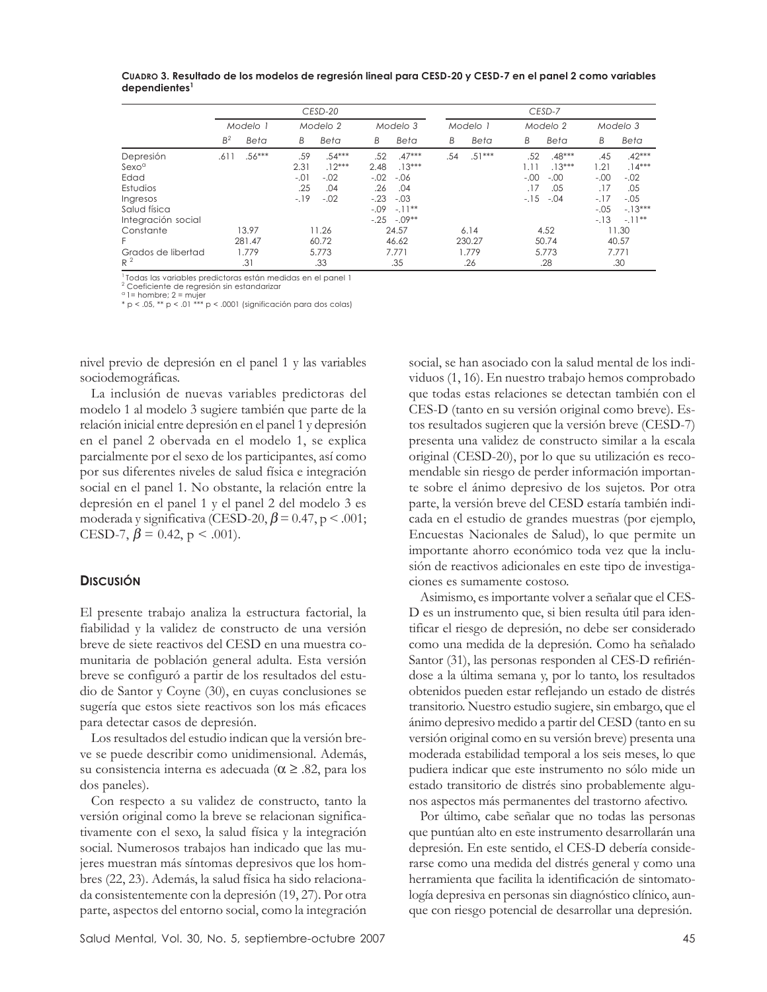**CUADRO 3. Resultado de los modelos de regresión lineal para CESD-20 y CESD-7 en el panel 2 como variables dependientes<sup>1</sup>**

|                                                                                                      | CESD-20        |                 |                                       |                                                 |                                                  |                                                                            | CESD-7   |                |                               |                                                 |                                                         |                                                                         |
|------------------------------------------------------------------------------------------------------|----------------|-----------------|---------------------------------------|-------------------------------------------------|--------------------------------------------------|----------------------------------------------------------------------------|----------|----------------|-------------------------------|-------------------------------------------------|---------------------------------------------------------|-------------------------------------------------------------------------|
|                                                                                                      | Modelo 1       |                 | Modelo 2                              |                                                 | Modelo 3                                         |                                                                            | Modelo 1 |                | Modelo 2                      |                                                 | Modelo 3                                                |                                                                         |
|                                                                                                      | B <sup>2</sup> | Beta            | B                                     | Beta                                            | В                                                | Beta                                                                       | В        | Beta           | B                             | Beta                                            | B                                                       | Beta                                                                    |
| Depresión<br>Sexo <sup>a</sup><br>Edad<br>Estudios<br>Ingresos<br>Salud física<br>Integración social | .611           | $.56***$        | .59<br>2.31<br>$-.01$<br>.25<br>$-19$ | $.54***$<br>$.12***$<br>$-.02$<br>.04<br>$-.02$ | .52<br>2.48<br>$-.02$<br>.26<br>$-.23$<br>$-.09$ | $.47***$<br>$.13***$<br>$-.06$<br>.04<br>$-.03$<br>$-11**$<br>$-.25-.09**$ | .54      | $.51***$       | .52<br>$-.00$<br>.17<br>$-15$ | $.48***$<br>$.13***$<br>$-.00$<br>.05<br>$-.04$ | .45<br>.21<br>$-.00$<br>.17<br>$-17$<br>$-.05$<br>$-13$ | $.42***$<br>$.14***$<br>$-.02$<br>.05<br>$-.05$<br>$-13***$<br>$-.11**$ |
| Constante<br>F.                                                                                      |                | 13.97<br>281.47 |                                       | 11.26<br>60.72                                  |                                                  | 24.57<br>46.62                                                             |          | 6.14<br>230.27 |                               | 4.52<br>50.74                                   |                                                         | 11.30<br>40.57                                                          |
| Grados de libertad<br>$R^2$                                                                          |                | 1.779<br>.31    |                                       | 5.773<br>.33                                    |                                                  | 7.771<br>.35                                                               |          | 1.779<br>.26   |                               | 5.773<br>.28                                    |                                                         | 7.771<br>.30                                                            |

1 Todas las variables predictoras están medidas en el panel 1

2 Coeficiente de regresión sin estandarizar a 1= hombre; 2 = mujer \* p < .05, \*\* p < .01 \*\*\* p < .0001 (significación para dos colas)

nivel previo de depresión en el panel 1 y las variables sociodemográficas.

La inclusión de nuevas variables predictoras del modelo 1 al modelo 3 sugiere también que parte de la relación inicial entre depresión en el panel 1 y depresión en el panel 2 obervada en el modelo 1, se explica parcialmente por el sexo de los participantes, así como por sus diferentes niveles de salud física e integración social en el panel 1. No obstante, la relación entre la depresión en el panel 1 y el panel 2 del modelo 3 es moderada y significativa (CESD-20,  $\beta$  = 0.47, p < .001; CESD-7,  $\beta$  = 0.42, p < .001).

# **DISCUSIÓN**

El presente trabajo analiza la estructura factorial, la fiabilidad y la validez de constructo de una versión breve de siete reactivos del CESD en una muestra comunitaria de población general adulta. Esta versión breve se configuró a partir de los resultados del estudio de Santor y Coyne (30), en cuyas conclusiones se sugería que estos siete reactivos son los más eficaces para detectar casos de depresión.

Los resultados del estudio indican que la versión breve se puede describir como unidimensional. Además, su consistencia interna es adecuada ( $\alpha \geq .82$ , para los dos paneles).

Con respecto a su validez de constructo, tanto la versión original como la breve se relacionan significativamente con el sexo, la salud física y la integración social. Numerosos trabajos han indicado que las mujeres muestran más síntomas depresivos que los hombres (22, 23). Además, la salud física ha sido relacionada consistentemente con la depresión (19, 27). Por otra parte, aspectos del entorno social, como la integración social, se han asociado con la salud mental de los individuos (1, 16). En nuestro trabajo hemos comprobado que todas estas relaciones se detectan también con el CES-D (tanto en su versión original como breve). Estos resultados sugieren que la versión breve (CESD-7) presenta una validez de constructo similar a la escala original (CESD-20), por lo que su utilización es recomendable sin riesgo de perder información importante sobre el ánimo depresivo de los sujetos. Por otra parte, la versión breve del CESD estaría también indicada en el estudio de grandes muestras (por ejemplo, Encuestas Nacionales de Salud), lo que permite un importante ahorro económico toda vez que la inclusión de reactivos adicionales en este tipo de investigaciones es sumamente costoso.

Asimismo, es importante volver a señalar que el CES-D es un instrumento que, si bien resulta útil para identificar el riesgo de depresión, no debe ser considerado como una medida de la depresión. Como ha señalado Santor (31), las personas responden al CES-D refiriéndose a la última semana y, por lo tanto, los resultados obtenidos pueden estar reflejando un estado de distrés transitorio. Nuestro estudio sugiere, sin embargo, que el ánimo depresivo medido a partir del CESD (tanto en su versión original como en su versión breve) presenta una moderada estabilidad temporal a los seis meses, lo que pudiera indicar que este instrumento no sólo mide un estado transitorio de distrés sino probablemente algunos aspectos más permanentes del trastorno afectivo.

Por último, cabe señalar que no todas las personas que puntúan alto en este instrumento desarrollarán una depresión. En este sentido, el CES-D debería considerarse como una medida del distrés general y como una herramienta que facilita la identificación de sintomatología depresiva en personas sin diagnóstico clínico, aunque con riesgo potencial de desarrollar una depresión.